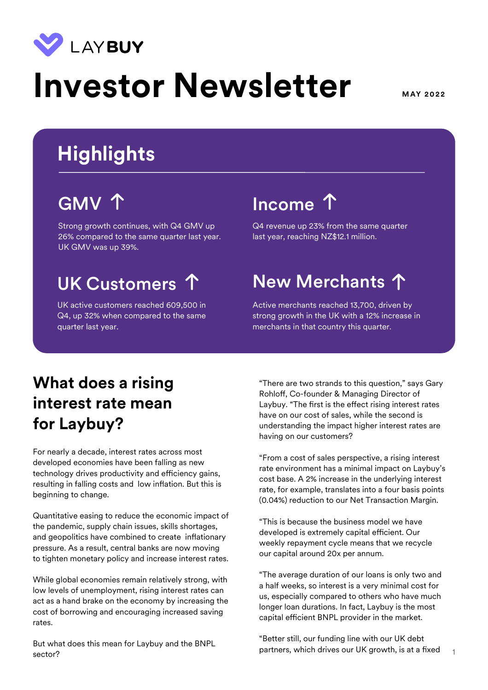

# **Investor Newsletter** MAY 2022

## **Highlights**

Strong growth continues, with Q4 GMV up 26% compared to the same quarter last year. UK GMV was up 39%.

UK active customers reached 609,500 in Q4, up 32% when compared to the same quarter last year.

### GMV 1 Income 1

Q4 revenue up 23% from the same quarter last year, reaching NZ\$12.1 million.

### UK Customers 1 New Merchants 1

Active merchants reached 13,700, driven by strong growth in the UK with a 12% increase in merchants in that country this quarter.

### **What does a rising interest rate mean for Laybuy?**

For nearly a decade, interest rates across most developed economies have been falling as new technology drives productivity and efficiency gains, resulting in falling costs and low inflation. But this is beginning to change.

Quantitative easing to reduce the economic impact of the pandemic, supply chain issues, skills shortages, and geopolitics have combined to create inflationary pressure. As a result, central banks are now moving to tighten monetary policy and increase interest rates.

While global economies remain relatively strong, with low levels of unemployment, rising interest rates can act as a hand brake on the economy by increasing the cost of borrowing and encouraging increased saving rates.

But what does this mean for Laybuy and the BNPL sector?

"There are two strands to this question," says Gary Rohloff, Co-founder & Managing Director of Laybuy. "The first is the effect rising interest rates have on our cost of sales, while the second is understanding the impact higher interest rates are having on our customers?

"From a cost of sales perspective, a rising interest rate environment has a minimal impact on Laybuy's cost base. A 2% increase in the underlying interest rate, for example, translates into a four basis points (0.04%) reduction to our Net Transaction Margin.

"This is because the business model we have developed is extremely capital efficient. Our weekly repayment cycle means that we recycle our capital around 20x per annum.

"The average duration of our loans is only two and a half weeks, so interest is a very minimal cost for us, especially compared to others who have much longer loan durations. In fact, Laybuy is the most capital efficient BNPL provider in the market.

1 "Better still, our funding line with our UK debt partners, which drives our UK growth, is at a fixed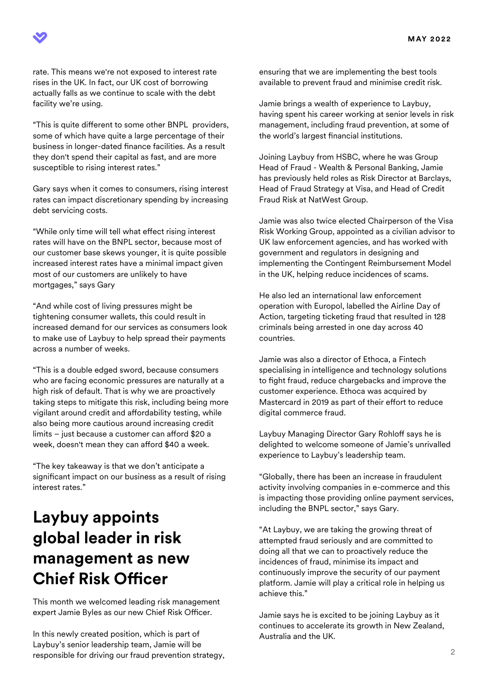

rate. This means we're not exposed to interest rate rises in the UK. In fact, our UK cost of borrowing actually falls as we continue to scale with the debt facility we're using.

"This is quite different to some other BNPL providers, some of which have quite a large percentage of their business in longer-dated finance facilities. As a result they don't spend their capital as fast, and are more susceptible to rising interest rates."

Gary says when it comes to consumers, rising interest rates can impact discretionary spending by increasing debt servicing costs.

"While only time will tell what effect rising interest rates will have on the BNPL sector, because most of our customer base skews younger, it is quite possible increased interest rates have a minimal impact given most of our customers are unlikely to have mortgages," says Gary

"And while cost of living pressures might be tightening consumer wallets, this could result in increased demand for our services as consumers look to make use of Laybuy to help spread their payments across a number of weeks.

"This is a double edged sword, because consumers who are facing economic pressures are naturally at a high risk of default. That is why we are proactively taking steps to mitigate this risk, including being more vigilant around credit and affordability testing, while also being more cautious around increasing credit  $limits - just because a customer can afford $20 a$ week, doesn't mean they can afford \$40 a week.

"The key takeaway is that we don't anticipate a significant impact on our business as a result of rising interest rates."

#### **Laybuy appoints global leader in risk management as new Chief Risk O!cer**

This month we welcomed leading risk management expert Jamie Byles as our new Chief Risk Officer.

In this newly created position, which is part of Laybuy's senior leadership team, Jamie will be responsible for driving our fraud prevention strategy, ensuring that we are implementing the best tools available to prevent fraud and minimise credit risk.

Jamie brings a wealth of experience to Laybuy, having spent his career working at senior levels in risk management, including fraud prevention, at some of the world's largest financial institutions.

Joining Laybuy from HSBC, where he was Group Head of Fraud - Wealth & Personal Banking, Jamie has previously held roles as Risk Director at Barclays, Head of Fraud Strategy at Visa, and Head of Credit Fraud Risk at NatWest Group.

Jamie was also twice elected Chairperson of the Visa Risk Working Group, appointed as a civilian advisor to UK law enforcement agencies, and has worked with government and regulators in designing and implementing the Contingent Reimbursement Model in the UK, helping reduce incidences of scams.

He also led an international law enforcement operation with Europol, labelled the Airline Day of Action, targeting ticketing fraud that resulted in 128 criminals being arrested in one day across 40 countries.

Jamie was also a director of Ethoca, a Fintech specialising in intelligence and technology solutions to fight fraud, reduce chargebacks and improve the customer experience. Ethoca was acquired by Mastercard in 2019 as part of their effort to reduce digital commerce fraud.

Laybuy Managing Director Gary Rohloff says he is delighted to welcome someone of Jamie's unrivalled experience to Laybuy's leadership team.

"Globally, there has been an increase in fraudulent activity involving companies in e-commerce and this is impacting those providing online payment services, including the BNPL sector," says Gary.

"At Laybuy, we are taking the growing threat of attempted fraud seriously and are committed to doing all that we can to proactively reduce the incidences of fraud, minimise its impact and continuously improve the security of our payment platform. Jamie will play a critical role in helping us achieve this."

Jamie says he is excited to be joining Laybuy as it continues to accelerate its growth in New Zealand, Australia and the UK.